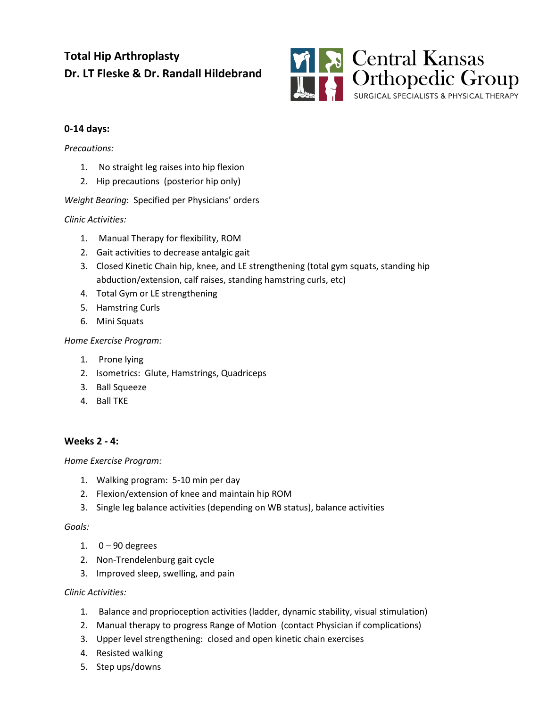# **Total Hip Arthroplasty Dr. LT Fleske & Dr. Randall Hildebrand**



## **0-14 days:**

#### *Precautions:*

- 1. No straight leg raises into hip flexion
- 2. Hip precautions (posterior hip only)

## *Weight Bearing*: Specified per Physicians' orders

## *Clinic Activities:*

- 1. Manual Therapy for flexibility, ROM
- 2. Gait activities to decrease antalgic gait
- 3. Closed Kinetic Chain hip, knee, and LE strengthening (total gym squats, standing hip abduction/extension, calf raises, standing hamstring curls, etc)
- 4. Total Gym or LE strengthening
- 5. Hamstring Curls
- 6. Mini Squats

## *Home Exercise Program:*

- 1. Prone lying
- 2. Isometrics: Glute, Hamstrings, Quadriceps
- 3. Ball Squeeze
- 4. Ball TKE

## **Weeks 2 - 4:**

## *Home Exercise Program:*

- 1. Walking program: 5-10 min per day
- 2. Flexion/extension of knee and maintain hip ROM
- 3. Single leg balance activities (depending on WB status), balance activities

## *Goals:*

- 1.  $0 90$  degrees
- 2. Non-Trendelenburg gait cycle
- 3. Improved sleep, swelling, and pain

## *Clinic Activities:*

- 1. Balance and proprioception activities (ladder, dynamic stability, visual stimulation)
- 2. Manual therapy to progress Range of Motion (contact Physician if complications)
- 3. Upper level strengthening: closed and open kinetic chain exercises
- 4. Resisted walking
- 5. Step ups/downs